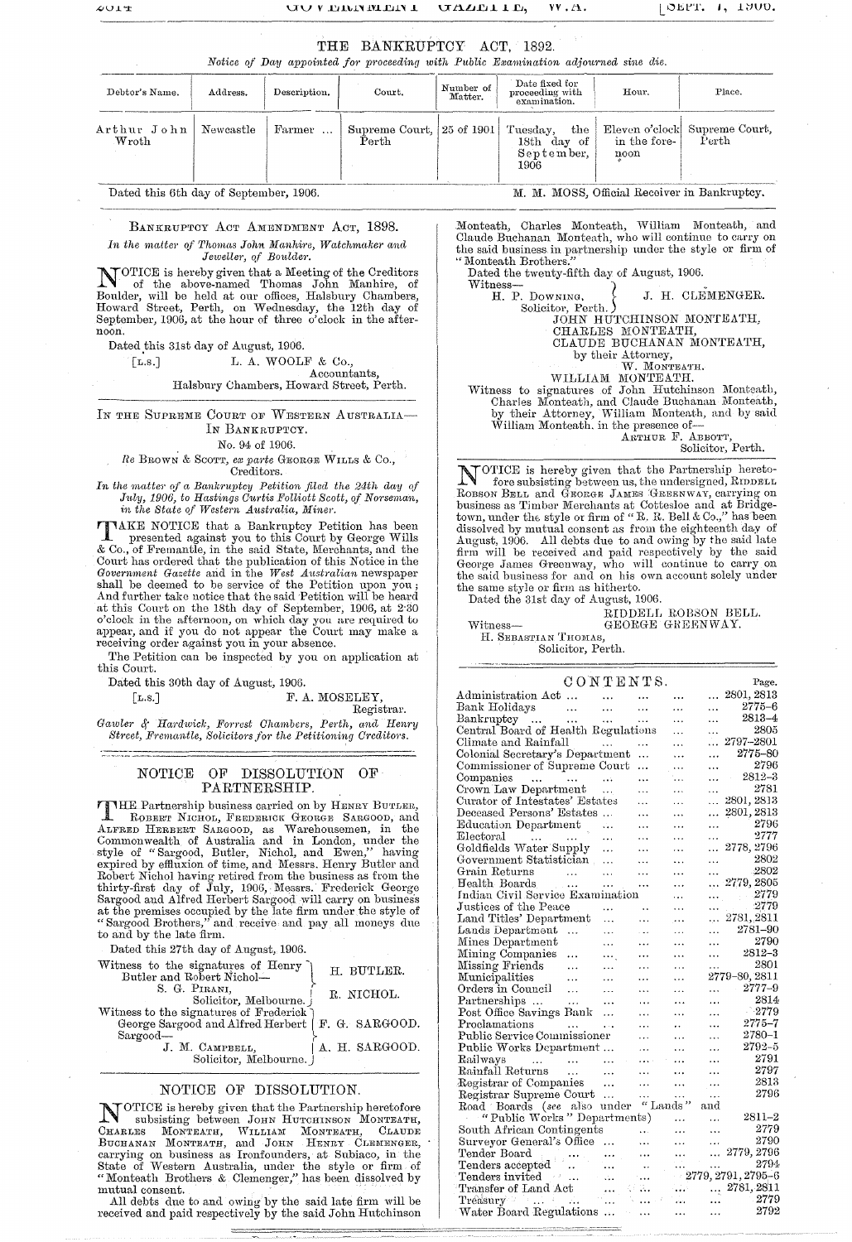## THE BANKRUPTCY ACT, 1892.

Notice of Day appointed for proceeding with Public Examination adjourned sine die.

| Debtor's Name.                   | Address. | Description. | Court. | Number of<br>Matter. | Date fixed for<br>proceeding with<br>examination.                                                           | Hour.                | Place. |
|----------------------------------|----------|--------------|--------|----------------------|-------------------------------------------------------------------------------------------------------------|----------------------|--------|
| Arthur John   Newcastle<br>Wroth |          | Farmer       | Perth  |                      | Supreme Court, 25 of 1901 Tuesday, the Eleven o'clock Supreme Court,<br>$18th$ day of<br>September,<br>1906 | in the fore-<br>noon | Perth  |

Dated this 6th day of September, 1906.

BANKRUPTCY ACT AMENDMENT ACT, 1898. In the matter of Thomas John Manhire, Watchmaker and Jeweller, of Boulder.

NOTICE is hereby given that a Meeting of the Creditors<br>of the above-named Thomas John Manhire, of<br>Boulder, will be held at our offices, Halsbury Chambers,<br>Howard Street, Perth, on Wednesday, the 12th day of<br>September, 1906

Dated this 31st day of August, 1906.

L. A. WOOLF & Co.,  $\lceil$ **L.s.**]

Accountants,

Halsbury Chambers, Howard Street, Perth.

IN THE SUPREME COURT OF WESTERN AUSTRALIA-IN BANKRUPTCY.

No. 94 of 1906.

Re BROWN & SCOTT, ex parte GEORGE WILLS & Co., Creditors.

In the matter of a Bankruptcy Petition filed the 24th day of July, 1906, to Hastings Curtis Folliott Scott, of Norseman, in the State of Western Australia, Miner.

TAKE NOTICE that a Bankruptcy Petition has been<br>presented against you to this Court by George Wills<br>& Co., of Fremantle, in the said State, Merchants, and the<br>Court has ordered that the publication of this Notice in the<br>*G* And further take notice that the said Petition will be heard at this Court on the 18th day of September, 1906, at 2:30 o'clock in the afternoon, on which day you are required to appear, and if you do not appear the Court may make a receiving order against you in your absence.

The Petition can be inspected by you on application at this Court.

Dated this 30th day of August, 1906.

 $\lceil$ L.s.

F. A. MOSELEY,

Registrar.

Gawler & Hardwick, Forrest Chambers, Perth, and Henry Street, Fremantle, Solicitors for the Petitioning Creditors.

### NOTICE OF DISSOLUTION OF PARTNERSHIP.

FIHE Partnership business carried on by HENRY BUTLER, ROBBET NICHOL FREDERICK GEORGE SARGOOD, and<br>ALFRED HERBERT SARGOOD, as Warehousemen, in the<br>Commonwealth of Australia and in London, under the<br>style of "Sargood, Butler, Nichol, and Ewen," having<br>expired by effluxion of ti Subject Nichol having retired from the business as from the<br>Robert Nichol having retired from the business as from the<br>thirty-first day of July, 1906, Messrs. Frederick George<br>Sargood and Alfred Herbert Sargood will carry to and by the late firm.

Dated this 27th day of August, 1906.

| Witness to the signatures of Henry<br>Butler and Robert Nichol-                              | H. BUTLER.     |
|----------------------------------------------------------------------------------------------|----------------|
| S. G. PIRANI,<br>Solicitor, Melbourne.                                                       | R. NICHOL.     |
| Witness to the signatures of Frederick<br>George Sargood and Alfred Herbert   F. G. SARGOOD. |                |
| Sargood-<br>J. M. CAMPBELL,<br>Solicitor, Melbourne.                                         | A. H. SARGOOD. |
|                                                                                              |                |

### NOTICE OF DISSOLUTION.

NOTICE is hereby given that the Partnership heretofore CHAELES Interest given that the Farmership hereforce.<br>CHAELES MONTEATH, WITCHINGTON MONTEATH, CLAUDE<br>BUCHANAN MONTEATH, and JOHN HENRY CLEMENGER,<br>carrying on business as Ironfounders, at Subiaco, in the<br>State of Western Au mutual consent.

All debts due to and owing by the said late firm will be received and paid respectively by the said John Hutchinson

M. M. MOSS, Official Receiver in Bankruptcv.

Monteath, Charles Monteath, William Monteath, and Claude Buchanan Monteath, who will continue to carry on the said business in partnership under the style or firm of "Monteath Brothers."

Dated the twenty-fifth day of August, 1906. Witness-<br>H. P. Downing, J. H. CLEMENGER. Solicitor, Perth. )<br>
JOHN HUTCHINSON MONTEATH,<br>
CHARLES MONTEATH,<br>
CLAUDE BUCHANAN MONTEATH, by their Attorney,<br>W. MONTEATH.<br>WILLIAM MONTEATH. Witness to signatures of John Hutchinson Monteath, Charles Monteath, and Claude Buchanan Monteath, by their Attorney, William Monteath, and by said<br>William Monteath. in the presence of-<br>ARTHUR F. ABBOTT, Solicitor, Perth.

NOTICE is hereby given that the Partnership hereto-<br>fore subsisting between us, the undersigned, RIDDELL<br>ROBSON BELL and GEORGE JAMES GREENWAY, carrying on business as Timber Merchants at Cottesloe and at Bridge-<br>town, under the style or firm of "R. R. Bell & Co.," has been dissolved by mutual consent as from the eighteenth day of<br>August, 1906. All debts due to and owing by the said late<br>firm will be received and paid respectively by the said<br>George James Greenway, who will continue to carry the same style or firm as hitherto.

Dated the 31st day of August, 1906. RIDDELL ROBSON BELL.

GEORGE GREENWAY.

H. SEBASTIAN THOMAS, Solicitor, Perth.

Witness-

|                                                                                                                                                     | CONTENTS.            |                      |                      |                      | Page.                   |
|-----------------------------------------------------------------------------------------------------------------------------------------------------|----------------------|----------------------|----------------------|----------------------|-------------------------|
| Administration Act                                                                                                                                  | $\ddotsc$            |                      |                      | .                    | 2801, 2813              |
| Bank Holidays<br>ليب<br>منابع                                                                                                                       | $\ddotsc$            | .                    |                      |                      | $2775 - 6$              |
| Bankruptcy<br>$\ldots$                                                                                                                              | $\cdots$             | $\ddotsc$            | $\ddotsc$            | $\ddotsc$            | $2813 - 4$              |
| Central Board of Health Regulations                                                                                                                 |                      |                      | .                    | $\cdots$             | 2805                    |
| Climate and Rainfall                                                                                                                                |                      | .                    |                      | .                    | 2797-2801               |
| Colonial Secretary's Department                                                                                                                     |                      | .                    | .                    |                      | 2775–80                 |
| Commissioner of Supreme Court                                                                                                                       |                      | .                    | .                    | .                    | 2796                    |
| Companies<br><b>Service Contract</b>                                                                                                                | $\sim 10$            | $\ddotsc$            |                      |                      | 2812–3                  |
| Crown Law Department                                                                                                                                | .                    | .                    | $\ddotsc$            | .                    | $^{2781}$               |
| Curator of Intestates' Estates                                                                                                                      |                      | .                    | .                    | .                    | 2801, 2813              |
| Deceased Persons' Estates                                                                                                                           |                      | $\ddotsc$            | $\ddotsc$            |                      | 2801, 2813              |
| Education Department                                                                                                                                | л.                   | $\cdots$             | $\ddotsc$            | $\ddotsc$            | 2796                    |
| ${\rm Electoral}$<br><b>Sales Contract</b>                                                                                                          | .                    | .                    | .                    | .                    | 2777                    |
| Goldfields Water Supply                                                                                                                             | $\cdots$             | .                    | .                    | .                    | 2778, 2796              |
| Government Statistician                                                                                                                             | .                    | .                    |                      | .                    | 2802                    |
| Grain Returns<br>$\ddotsc$                                                                                                                          | .                    |                      |                      | .                    | -2802                   |
| Health Boards<br>$\sim$                                                                                                                             | .                    | $\ddotsc$            | .                    | .                    | 2779, 2805              |
| Indian Civil Service Examination                                                                                                                    |                      |                      | .                    |                      | $\ldots$ 2779           |
| Justices of the Peace                                                                                                                               |                      |                      |                      |                      | - 2779                  |
| Land Titles' Department                                                                                                                             | $\ddotsc$            | $\ddotsc$            | $\ddotsc$            | .                    | 2781, 2811              |
| Lands Department<br>$\cdots$                                                                                                                        | .                    |                      |                      | .                    | 2781-90                 |
| Mines Department                                                                                                                                    | .                    |                      |                      | .                    | 2790                    |
| Mining Companies<br>.                                                                                                                               | $\cdots$             | $\ddotsc$            | $\ddotsc$            | .                    | 2812–3                  |
| Missing Friends<br>$\cdots$                                                                                                                         |                      |                      | $\cdots$             | $\ddotsc$            | 2801                    |
| Municipalities<br>.                                                                                                                                 |                      | .                    |                      |                      | 2779-80, 2811           |
| Orders in Council<br>$\ldots$                                                                                                                       | .                    |                      | .                    | .                    | $2777 - 9$              |
| Partnerships<br>$\ddotsc$                                                                                                                           |                      |                      | $\ddotsc$            | $\cdots$             | 2814                    |
| Post Office Savings Bank                                                                                                                            | .<br>$\ddotsc$       |                      |                      |                      | $-2779$                 |
| Proclamations                                                                                                                                       |                      |                      |                      | .<br>$\cdot$ $\cdot$ | 2775–7                  |
| $\cdots$<br>Public Service Commissioner                                                                                                             | $\ddotsc$            | $\cdots$             | $\ddot{\phantom{a}}$ |                      | 2780–1                  |
| Public Works Department                                                                                                                             |                      | .                    | .                    | .                    | 2792-5                  |
|                                                                                                                                                     |                      |                      | .                    | $\ddotsc$            | 2791                    |
| Railways<br>$\sim 100$ km $^{-1}$<br>$\sim$ 100 $\sim$<br>Rainfall Returns                                                                          | $\sim$ $\sim$ $\sim$ |                      | $\ddotsc$            | .                    | 2797                    |
| $\sim$                                                                                                                                              | $\ddotsc$            |                      | $\ddotsc$            | .                    | 2813                    |
| Registrar of Companies                                                                                                                              | $\ddotsc$            | $\ddotsc$            | .                    | $\ddotsc$            | 2796                    |
| Registrar Supreme Court                                                                                                                             | $\ldots$             | $\cdots$<br>"Lands"  | $\cdots$             | $\ddotsc$            |                         |
| Road Boards (see also under                                                                                                                         |                      |                      |                      | and                  |                         |
| "Public Works" Departments)                                                                                                                         |                      |                      | .                    | .                    | $2811 - 2$<br>2779      |
| South African Contingents                                                                                                                           |                      | $\ddotsc$            | $\cdots$             | $\cdots$             |                         |
| Surveyor General's Office                                                                                                                           |                      | $\ddotsc$            | .                    | .                    | 2790                    |
| Tender Board                                                                                                                                        |                      |                      |                      |                      | 2779, 2796              |
| Tenders accepted                                                                                                                                    | $\cdots$             | $\ddot{\phantom{0}}$ |                      | $\ddotsc$            | 2794                    |
| Tenders invited<br>$\mathcal{F}(\mathcal{F}) = \mathcal{F}(\mathcal{F})$                                                                            | 44                   |                      |                      |                      | $-2779, 2791, 2795 - 6$ |
| Transfer of Land Act                                                                                                                                |                      |                      | alar                 |                      | $\ldots$ 2781, 2811     |
| $\mathcal{F}^{\mathcal{A}}_{\mathcal{A}}$ , $\mathcal{F}^{\mathcal{A}}_{\mathcal{A}}$ , $\mathcal{F}^{\mathcal{A}}_{\mathcal{A}}$ , and<br>Treasury | $\ddotsc$            |                      |                      | $\cdots$             | - 2779                  |
| Water Board Regulations                                                                                                                             | $\sim 10$            |                      |                      |                      | 2792                    |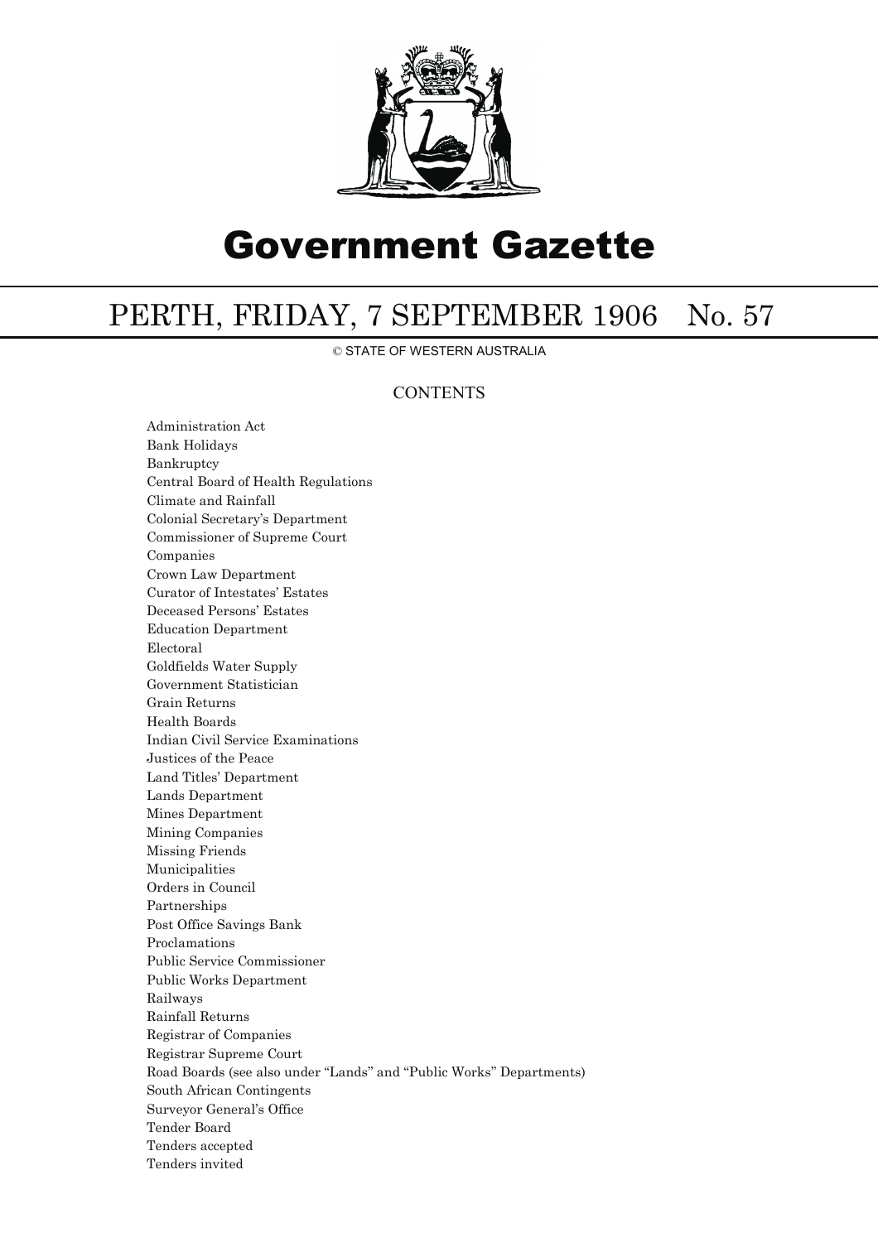

# Government Gazette

# PERTH, FRIDAY, 7 SEPTEMBER 1906 No. 57

© STATE OF WESTERN AUSTRALIA

### **CONTENTS**

Administration Act Bank Holidays Bankruptcy Central Board of Health Regulations Climate and Rainfall Colonial Secretary's Department Commissioner of Supreme Court Companies Crown Law Department Curator of Intestates' Estates Deceased Persons' Estates Education Department Electoral Goldfields Water Supply Government Statistician Grain Returns Health Boards Indian Civil Service Examinations Justices of the Peace Land Titles' Department Lands Department Mines Department Mining Companies Missing Friends Municipalities Orders in Council Partnerships Post Office Savings Bank Proclamations Public Service Commissioner Public Works Department Railways Rainfall Returns Registrar of Companies Registrar Supreme Court Road Boards (see also under ''Lands'' and ''Public Works'' Departments) South African Contingents Surveyor General's Office Tender Board Tenders accepted Tenders invited